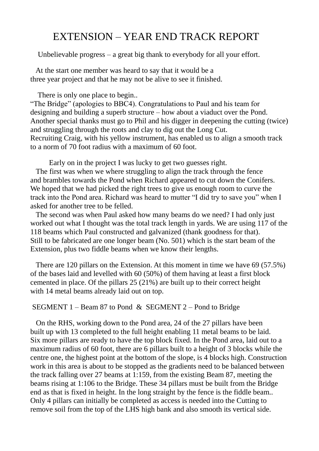## EXTENSION – YEAR END TRACK REPORT

Unbelievable progress – a great big thank to everybody for all your effort.

 At the start one member was heard to say that it would be a three year project and that he may not be alive to see it finished.

There is only one place to begin...

"The Bridge" (apologies to BBC4). Congratulations to Paul and his team for designing and building a superb structure – how about a viaduct over the Pond. Another special thanks must go to Phil and his digger in deepening the cutting (twice) and struggling through the roots and clay to dig out the Long Cut. Recruiting Craig, with his yellow instrument, has enabled us to align a smooth track to a norm of 70 foot radius with a maximum of 60 foot.

 Early on in the project I was lucky to get two guesses right. The first was when we where struggling to align the track through the fence and brambles towards the Pond when Richard appeared to cut down the Conifers. We hoped that we had picked the right trees to give us enough room to curve the track into the Pond area. Richard was heard to mutter "I did try to save you" when I asked for another tree to be felled.

 The second was when Paul asked how many beams do we need? I had only just worked out what I thought was the total track length in yards. We are using 117 of the 118 beams which Paul constructed and galvanized (thank goodness for that). Still to be fabricated are one longer beam (No. 501) which is the start beam of the Extension, plus two fiddle beams when we know their lengths.

 There are 120 pillars on the Extension. At this moment in time we have 69 (57.5%) of the bases laid and levelled with 60 (50%) of them having at least a first block cemented in place. Of the pillars 25 (21%) are built up to their correct height with 14 metal beams already laid out on top.

## SEGMENT 1 – Beam 87 to Pond & SEGMENT 2 – Pond to Bridge

 On the RHS, working down to the Pond area, 24 of the 27 pillars have been built up with 13 completed to the full height enabling 11 metal beams to be laid. Six more pillars are ready to have the top block fixed. In the Pond area, laid out to a maximum radius of 60 foot, there are 6 pillars built to a height of 3 blocks while the centre one, the highest point at the bottom of the slope, is 4 blocks high. Construction work in this area is about to be stopped as the gradients need to be balanced between the track falling over 27 beams at 1:159, from the existing Beam 87, meeting the beams rising at 1:106 to the Bridge. These 34 pillars must be built from the Bridge end as that is fixed in height. In the long straight by the fence is the fiddle beam.. Only 4 pillars can initially be completed as access is needed into the Cutting to remove soil from the top of the LHS high bank and also smooth its vertical side.